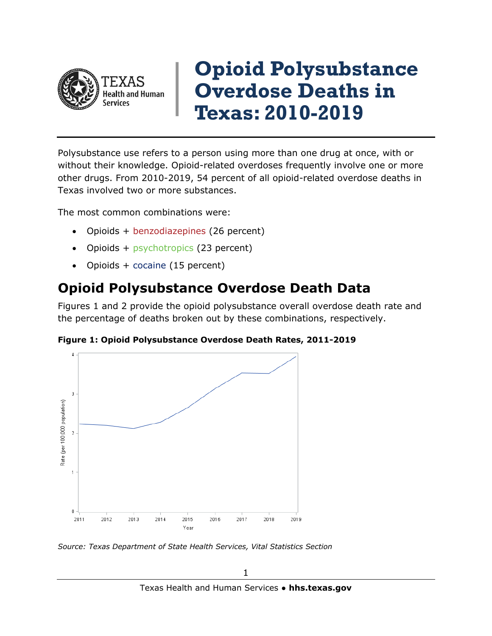

## **Opioid Polysubstance Overdose Deaths in Texas: 2010-2019**

Polysubstance use refers to a person using more than one drug at once, with or without their knowledge. Opioid-related overdoses frequently involve one or more other drugs. From 2010-2019, 54 percent of all opioid-related overdose deaths in Texas involved two or more substances.

The most common combinations were:

- Opioids + benzodiazepines (26 percent)
- Opioids + psychotropics (23 percent)
- Opioids + cocaine (15 percent)

## **Opioid Polysubstance Overdose Death Data**

Figures 1 and 2 provide the opioid polysubstance overall overdose death rate and the percentage of deaths broken out by these combinations, respectively.



**Figure 1: Opioid Polysubstance Overdose Death Rates, 2011-2019**

*Source: Texas Department of State Health Services, Vital Statistics Section*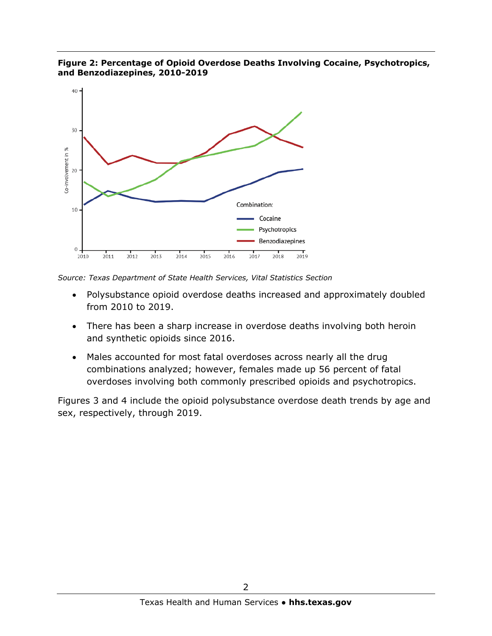

**Figure 2: Percentage of Opioid Overdose Deaths Involving Cocaine, Psychotropics, and Benzodiazepines, 2010-2019**

*Source: Texas Department of State Health Services, Vital Statistics Section*

- Polysubstance opioid overdose deaths increased and approximately doubled from 2010 to 2019.
- There has been a sharp increase in overdose deaths involving both heroin and synthetic opioids since 2016.
- Males accounted for most fatal overdoses across nearly all the drug combinations analyzed; however, females made up 56 percent of fatal overdoses involving both commonly prescribed opioids and psychotropics.

Figures 3 and 4 include the opioid polysubstance overdose death trends by age and sex, respectively, through 2019.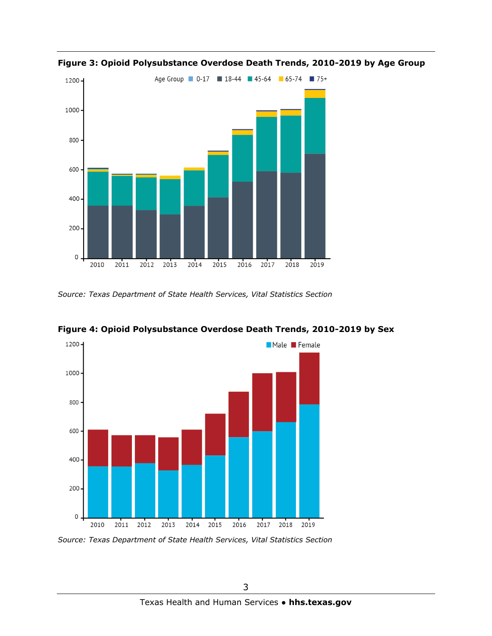

**Figure 3: Opioid Polysubstance Overdose Death Trends, 2010-2019 by Age Group**

*Source: Texas Department of State Health Services, Vital Statistics Section*



**Figure 4: Opioid Polysubstance Overdose Death Trends, 2010-2019 by Sex**

*Source: Texas Department of State Health Services, Vital Statistics Section*